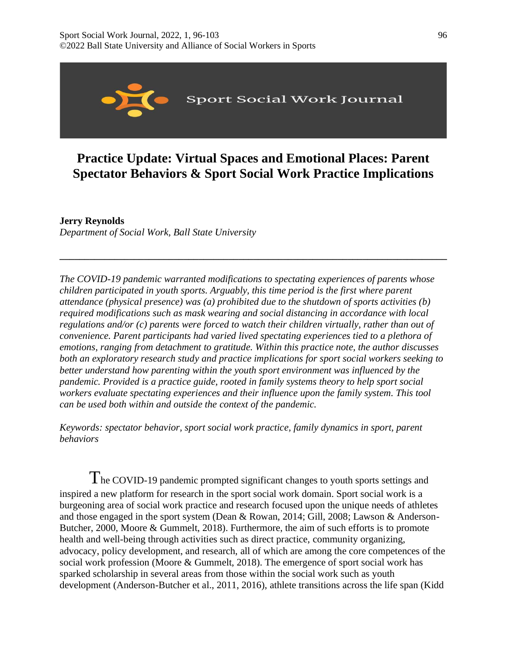

# **Practice Update: Virtual Spaces and Emotional Places: Parent Spectator Behaviors & Sport Social Work Practice Implications**

**\_\_\_\_\_\_\_\_\_\_\_\_\_\_\_\_\_\_\_\_\_\_\_\_\_\_\_\_\_\_\_\_\_\_\_\_\_\_\_\_\_\_\_\_\_\_\_\_\_\_\_\_\_\_\_\_\_\_\_\_\_\_\_\_\_\_\_\_\_\_\_\_\_\_\_\_\_\_**

# **Jerry Reynolds**

*Department of Social Work, Ball State University* 

*The COVID-19 pandemic warranted modifications to spectating experiences of parents whose children participated in youth sports. Arguably, this time period is the first where parent attendance (physical presence) was (a) prohibited due to the shutdown of sports activities (b) required modifications such as mask wearing and social distancing in accordance with local regulations and/or (c) parents were forced to watch their children virtually, rather than out of convenience. Parent participants had varied lived spectating experiences tied to a plethora of emotions, ranging from detachment to gratitude. Within this practice note, the author discusses both an exploratory research study and practice implications for sport social workers seeking to better understand how parenting within the youth sport environment was influenced by the pandemic. Provided is a practice guide, rooted in family systems theory to help sport social workers evaluate spectating experiences and their influence upon the family system. This tool can be used both within and outside the context of the pandemic.* 

*Keywords: spectator behavior, sport social work practice, family dynamics in sport, parent behaviors*

The COVID-19 pandemic prompted significant changes to youth sports settings and inspired a new platform for research in the sport social work domain. Sport social work is a burgeoning area of social work practice and research focused upon the unique needs of athletes and those engaged in the sport system (Dean & Rowan, 2014; Gill, 2008; Lawson & Anderson-Butcher, 2000, Moore & Gummelt, 2018). Furthermore, the aim of such efforts is to promote health and well-being through activities such as direct practice, community organizing, advocacy, policy development, and research, all of which are among the core competences of the social work profession (Moore & Gummelt, 2018). The emergence of sport social work has sparked scholarship in several areas from those within the social work such as youth development (Anderson-Butcher et al., 2011, 2016), athlete transitions across the life span (Kidd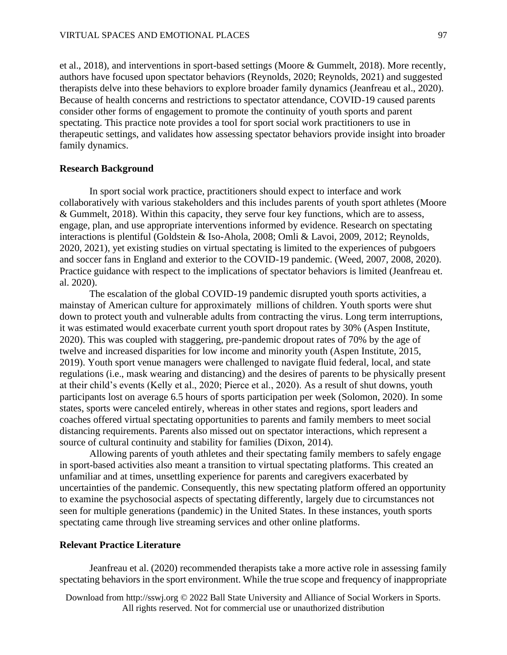et al., 2018), and interventions in sport-based settings (Moore & Gummelt, 2018). More recently, authors have focused upon spectator behaviors (Reynolds, 2020; Reynolds, 2021) and suggested therapists delve into these behaviors to explore broader family dynamics (Jeanfreau et al., 2020). Because of health concerns and restrictions to spectator attendance, COVID-19 caused parents consider other forms of engagement to promote the continuity of youth sports and parent spectating. This practice note provides a tool for sport social work practitioners to use in therapeutic settings, and validates how assessing spectator behaviors provide insight into broader family dynamics.

#### **Research Background**

In sport social work practice, practitioners should expect to interface and work collaboratively with various stakeholders and this includes parents of youth sport athletes (Moore & Gummelt, 2018). Within this capacity, they serve four key functions, which are to assess, engage, plan, and use appropriate interventions informed by evidence. Research on spectating interactions is plentiful (Goldstein & Iso-Ahola, 2008; Omli & Lavoi, 2009, 2012; Reynolds, 2020, 2021), yet existing studies on virtual spectating is limited to the experiences of pubgoers and soccer fans in England and exterior to the COVID-19 pandemic. (Weed, 2007, 2008, 2020). Practice guidance with respect to the implications of spectator behaviors is limited (Jeanfreau et. al. 2020).

The escalation of the global COVID-19 pandemic disrupted youth sports activities, a mainstay of American culture for approximately millions of children. Youth sports were shut down to protect youth and vulnerable adults from contracting the virus. Long term interruptions, it was estimated would exacerbate current youth sport dropout rates by 30% (Aspen Institute, 2020). This was coupled with staggering, pre-pandemic dropout rates of 70% by the age of twelve and increased disparities for low income and minority youth (Aspen Institute, 2015, 2019). Youth sport venue managers were challenged to navigate fluid federal, local, and state regulations (i.e., mask wearing and distancing) and the desires of parents to be physically present at their child's events (Kelly et al., 2020; Pierce et al., 2020). As a result of shut downs, youth participants lost on average 6.5 hours of sports participation per week (Solomon, 2020). In some states, sports were canceled entirely, whereas in other states and regions, sport leaders and coaches offered virtual spectating opportunities to parents and family members to meet social distancing requirements. Parents also missed out on spectator interactions, which represent a source of cultural continuity and stability for families (Dixon, 2014).

Allowing parents of youth athletes and their spectating family members to safely engage in sport-based activities also meant a transition to virtual spectating platforms. This created an unfamiliar and at times, unsettling experience for parents and caregivers exacerbated by uncertainties of the pandemic. Consequently, this new spectating platform offered an opportunity to examine the psychosocial aspects of spectating differently, largely due to circumstances not seen for multiple generations (pandemic) in the United States. In these instances, youth sports spectating came through live streaming services and other online platforms.

# **Relevant Practice Literature**

Jeanfreau et al. (2020) recommended therapists take a more active role in assessing family spectating behaviors in the sport environment. While the true scope and frequency of inappropriate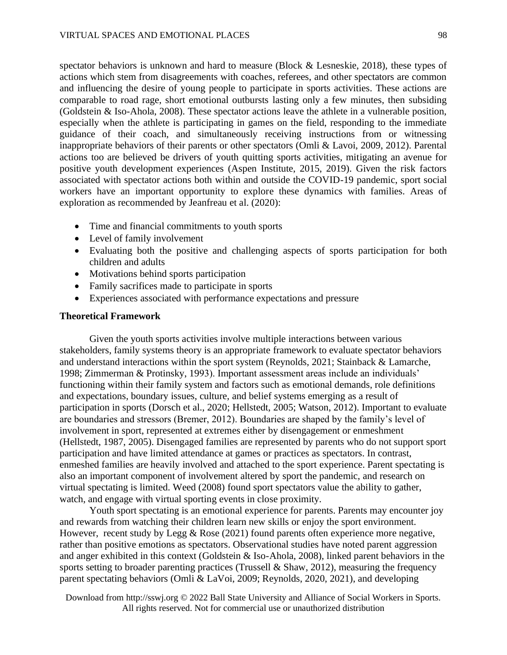spectator behaviors is unknown and hard to measure (Block & Lesneskie, 2018), these types of actions which stem from disagreements with coaches, referees, and other spectators are common and influencing the desire of young people to participate in sports activities. These actions are comparable to road rage, short emotional outbursts lasting only a few minutes, then subsiding (Goldstein & Iso-Ahola, 2008). These spectator actions leave the athlete in a vulnerable position, especially when the athlete is participating in games on the field, responding to the immediate guidance of their coach, and simultaneously receiving instructions from or witnessing inappropriate behaviors of their parents or other spectators (Omli & Lavoi, 2009, 2012). Parental actions too are believed be drivers of youth quitting sports activities, mitigating an avenue for positive youth development experiences (Aspen Institute, 2015, 2019). Given the risk factors associated with spectator actions both within and outside the COVID-19 pandemic, sport social workers have an important opportunity to explore these dynamics with families. Areas of exploration as recommended by Jeanfreau et al. (2020):

- Time and financial commitments to youth sports
- Level of family involvement
- Evaluating both the positive and challenging aspects of sports participation for both children and adults
- Motivations behind sports participation
- Family sacrifices made to participate in sports
- Experiences associated with performance expectations and pressure

## **Theoretical Framework**

Given the youth sports activities involve multiple interactions between various stakeholders, family systems theory is an appropriate framework to evaluate spectator behaviors and understand interactions within the sport system (Reynolds, 2021; Stainback & Lamarche, 1998; Zimmerman & Protinsky, 1993). Important assessment areas include an individuals' functioning within their family system and factors such as emotional demands, role definitions and expectations, boundary issues, culture, and belief systems emerging as a result of participation in sports (Dorsch et al., 2020; Hellstedt, 2005; Watson, 2012). Important to evaluate are boundaries and stressors (Bremer, 2012). Boundaries are shaped by the family's level of involvement in sport, represented at extremes either by disengagement or enmeshment (Hellstedt, 1987, 2005). Disengaged families are represented by parents who do not support sport participation and have limited attendance at games or practices as spectators. In contrast, enmeshed families are heavily involved and attached to the sport experience. Parent spectating is also an important component of involvement altered by sport the pandemic, and research on virtual spectating is limited. Weed (2008) found sport spectators value the ability to gather, watch, and engage with virtual sporting events in close proximity.

Youth sport spectating is an emotional experience for parents. Parents may encounter joy and rewards from watching their children learn new skills or enjoy the sport environment. However, recent study by Legg & Rose (2021) found parents often experience more negative, rather than positive emotions as spectators. Observational studies have noted parent aggression and anger exhibited in this context (Goldstein & Iso-Ahola, 2008), linked parent behaviors in the sports setting to broader parenting practices (Trussell & Shaw, 2012), measuring the frequency parent spectating behaviors (Omli & LaVoi, 2009; Reynolds, 2020, 2021), and developing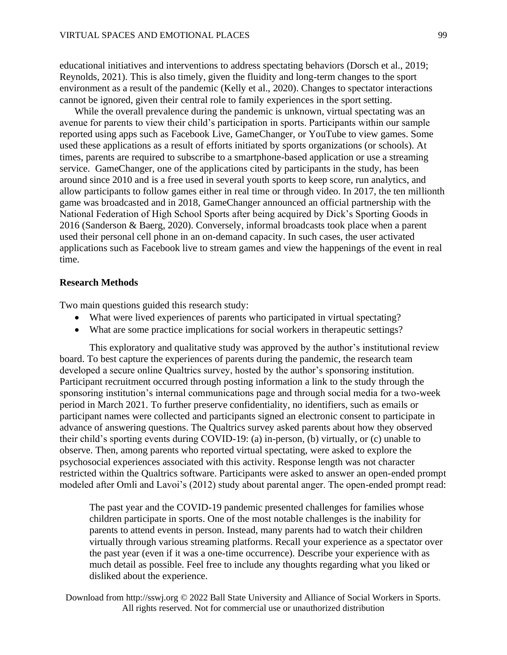educational initiatives and interventions to address spectating behaviors (Dorsch et al., 2019; Reynolds, 2021). This is also timely, given the fluidity and long-term changes to the sport environment as a result of the pandemic (Kelly et al., 2020). Changes to spectator interactions cannot be ignored, given their central role to family experiences in the sport setting.

While the overall prevalence during the pandemic is unknown, virtual spectating was an avenue for parents to view their child's participation in sports. Participants within our sample reported using apps such as Facebook Live, GameChanger, or YouTube to view games. Some used these applications as a result of efforts initiated by sports organizations (or schools). At times, parents are required to subscribe to a smartphone-based application or use a streaming service. GameChanger, one of the applications cited by participants in the study, has been around since 2010 and is a free used in several youth sports to keep score, run analytics, and allow participants to follow games either in real time or through video. In 2017, the ten millionth game was broadcasted and in 2018, GameChanger announced an official partnership with the National Federation of High School Sports after being acquired by Dick's Sporting Goods in 2016 (Sanderson & Baerg, 2020). Conversely, informal broadcasts took place when a parent used their personal cell phone in an on-demand capacity. In such cases, the user activated applications such as Facebook live to stream games and view the happenings of the event in real time.

#### **Research Methods**

Two main questions guided this research study:

- What were lived experiences of parents who participated in virtual spectating?
- What are some practice implications for social workers in therapeutic settings?

This exploratory and qualitative study was approved by the author's institutional review board. To best capture the experiences of parents during the pandemic, the research team developed a secure online Qualtrics survey, hosted by the author's sponsoring institution. Participant recruitment occurred through posting information a link to the study through the sponsoring institution's internal communications page and through social media for a two-week period in March 2021. To further preserve confidentiality, no identifiers, such as emails or participant names were collected and participants signed an electronic consent to participate in advance of answering questions. The Qualtrics survey asked parents about how they observed their child's sporting events during COVID-19: (a) in-person, (b) virtually, or (c) unable to observe. Then, among parents who reported virtual spectating, were asked to explore the psychosocial experiences associated with this activity. Response length was not character restricted within the Qualtrics software. Participants were asked to answer an open-ended prompt modeled after Omli and Lavoi's (2012) study about parental anger. The open-ended prompt read:

The past year and the COVID-19 pandemic presented challenges for families whose children participate in sports. One of the most notable challenges is the inability for parents to attend events in person. Instead, many parents had to watch their children virtually through various streaming platforms. Recall your experience as a spectator over the past year (even if it was a one-time occurrence). Describe your experience with as much detail as possible. Feel free to include any thoughts regarding what you liked or disliked about the experience.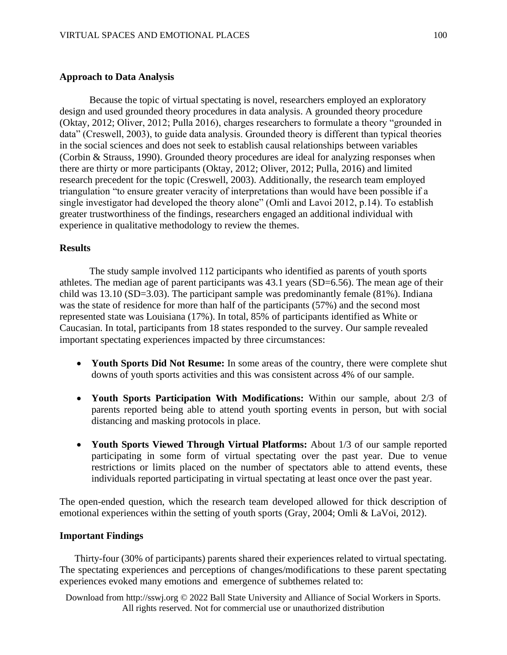# **Approach to Data Analysis**

Because the topic of virtual spectating is novel, researchers employed an exploratory design and used grounded theory procedures in data analysis. A grounded theory procedure (Oktay, 2012; Oliver, 2012; Pulla 2016), charges researchers to formulate a theory "grounded in data" (Creswell, 2003), to guide data analysis. Grounded theory is different than typical theories in the social sciences and does not seek to establish causal relationships between variables (Corbin & Strauss, 1990). Grounded theory procedures are ideal for analyzing responses when there are thirty or more participants (Oktay, 2012; Oliver, 2012; Pulla, 2016) and limited research precedent for the topic (Creswell, 2003). Additionally, the research team employed triangulation "to ensure greater veracity of interpretations than would have been possible if a single investigator had developed the theory alone" (Omli and Lavoi 2012, p.14). To establish greater trustworthiness of the findings, researchers engaged an additional individual with experience in qualitative methodology to review the themes.

## **Results**

The study sample involved 112 participants who identified as parents of youth sports athletes. The median age of parent participants was 43.1 years (SD=6.56). The mean age of their child was 13.10 (SD=3.03). The participant sample was predominantly female (81%). Indiana was the state of residence for more than half of the participants (57%) and the second most represented state was Louisiana (17%). In total, 85% of participants identified as White or Caucasian. In total, participants from 18 states responded to the survey. Our sample revealed important spectating experiences impacted by three circumstances:

- **Youth Sports Did Not Resume:** In some areas of the country, there were complete shut downs of youth sports activities and this was consistent across 4% of our sample.
- **Youth Sports Participation With Modifications:** Within our sample, about 2/3 of parents reported being able to attend youth sporting events in person, but with social distancing and masking protocols in place.
- **Youth Sports Viewed Through Virtual Platforms:** About 1/3 of our sample reported participating in some form of virtual spectating over the past year. Due to venue restrictions or limits placed on the number of spectators able to attend events, these individuals reported participating in virtual spectating at least once over the past year.

The open-ended question, which the research team developed allowed for thick description of emotional experiences within the setting of youth sports (Gray, 2004; Omli & LaVoi, 2012).

#### **Important Findings**

Thirty-four (30% of participants) parents shared their experiences related to virtual spectating. The spectating experiences and perceptions of changes/modifications to these parent spectating experiences evoked many emotions and emergence of subthemes related to: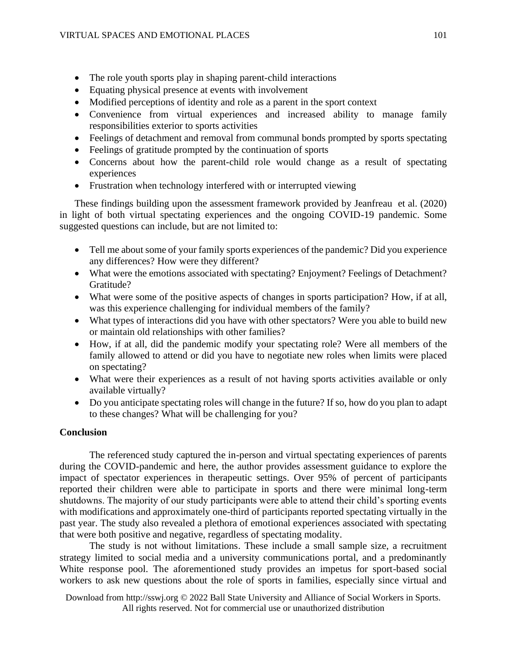- The role youth sports play in shaping parent-child interactions
- Equating physical presence at events with involvement
- Modified perceptions of identity and role as a parent in the sport context
- Convenience from virtual experiences and increased ability to manage family responsibilities exterior to sports activities
- Feelings of detachment and removal from communal bonds prompted by sports spectating
- Feelings of gratitude prompted by the continuation of sports
- Concerns about how the parent-child role would change as a result of spectating experiences
- Frustration when technology interfered with or interrupted viewing

These findings building upon the assessment framework provided by Jeanfreau et al. (2020) in light of both virtual spectating experiences and the ongoing COVID-19 pandemic. Some suggested questions can include, but are not limited to:

- Tell me about some of your family sports experiences of the pandemic? Did you experience any differences? How were they different?
- What were the emotions associated with spectating? Enjoyment? Feelings of Detachment? Gratitude?
- What were some of the positive aspects of changes in sports participation? How, if at all, was this experience challenging for individual members of the family?
- What types of interactions did you have with other spectators? Were you able to build new or maintain old relationships with other families?
- How, if at all, did the pandemic modify your spectating role? Were all members of the family allowed to attend or did you have to negotiate new roles when limits were placed on spectating?
- What were their experiences as a result of not having sports activities available or only available virtually?
- Do you anticipate spectating roles will change in the future? If so, how do you plan to adapt to these changes? What will be challenging for you?

# **Conclusion**

The referenced study captured the in-person and virtual spectating experiences of parents during the COVID-pandemic and here, the author provides assessment guidance to explore the impact of spectator experiences in therapeutic settings. Over 95% of percent of participants reported their children were able to participate in sports and there were minimal long-term shutdowns. The majority of our study participants were able to attend their child's sporting events with modifications and approximately one-third of participants reported spectating virtually in the past year. The study also revealed a plethora of emotional experiences associated with spectating that were both positive and negative, regardless of spectating modality.

The study is not without limitations. These include a small sample size, a recruitment strategy limited to social media and a university communications portal, and a predominantly White response pool. The aforementioned study provides an impetus for sport-based social workers to ask new questions about the role of sports in families, especially since virtual and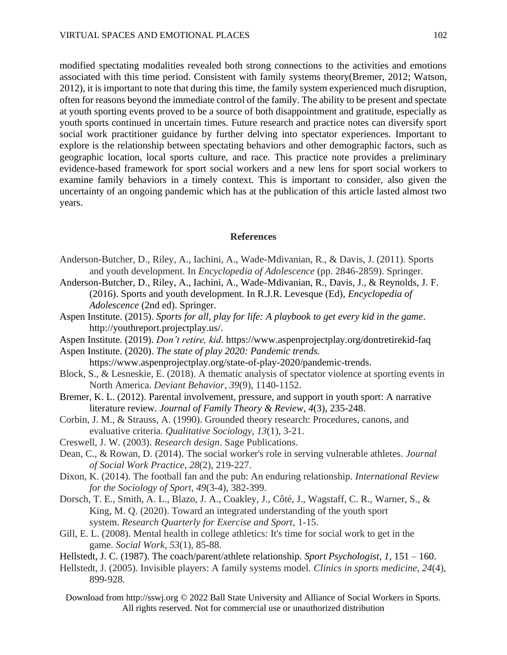modified spectating modalities revealed both strong connections to the activities and emotions associated with this time period. Consistent with family systems theory(Bremer, 2012; Watson, 2012), it is important to note that during this time, the family system experienced much disruption, often for reasons beyond the immediate control of the family. The ability to be present and spectate at youth sporting events proved to be a source of both disappointment and gratitude, especially as youth sports continued in uncertain times. Future research and practice notes can diversify sport social work practitioner guidance by further delving into spectator experiences. Important to explore is the relationship between spectating behaviors and other demographic factors, such as geographic location, local sports culture, and race. This practice note provides a preliminary evidence-based framework for sport social workers and a new lens for sport social workers to examine family behaviors in a timely context. This is important to consider, also given the uncertainty of an ongoing pandemic which has at the publication of this article lasted almost two years.

## **References**

- Anderson-Butcher, D., Riley, A., Iachini, A., Wade-Mdivanian, R., & Davis, J. (2011). Sports and youth development. In *Encyclopedia of Adolescence* (pp. 2846-2859). Springer.
- Anderson-Butcher, D., Riley, A., Iachini, A., Wade-Mdivanian, R., Davis, J., & Reynolds, J. F. (2016). Sports and youth development. In R.J.R. Levesque (Ed), *Encyclopedia of Adolescence* (2nd ed). Springer.
- Aspen Institute. (2015). *Sports for all, play for life: A playbook to get every kid in the game*. http://youthreport.projectplay.us/.
- Aspen Institute. (2019). *Don't retire, kid*. https://www.aspenprojectplay.org/dontretirekid-faq

Aspen Institute. (2020). *The state of play 2020: Pandemic trends.*  https://www.aspenprojectplay.org/state-of-play-2020/pandemic-trends.

- Block, S., & Lesneskie, E. (2018). A thematic analysis of spectator violence at sporting events in North America. *Deviant Behavior*, *39*(9), 1140-1152.
- Bremer, K. L. (2012). Parental involvement, pressure, and support in youth sport: A narrative literature review. *Journal of Family Theory & Review*, *4*(3), 235-248.
- Corbin, J. M., & Strauss, A. (1990). Grounded theory research: Procedures, canons, and evaluative criteria. *Qualitative Sociology*, *13*(1), 3-21.
- Creswell, J. W. (2003). *Research design*. Sage Publications.
- Dean, C., & Rowan, D. (2014). The social worker's role in serving vulnerable athletes. *Journal of Social Work Practice*, *28*(2), 219-227.
- Dixon, K. (2014). The football fan and the pub: An enduring relationship. *International Review for the Sociology of Sport*, *49*(3-4), 382-399.
- Dorsch, T. E., Smith, A. L., Blazo, J. A., Coakley, J., Côté, J., Wagstaff, C. R., Warner, S., & King, M. Q. (2020). Toward an integrated understanding of the youth sport system. *Research Quarterly for Exercise and Sport*, 1-15.
- Gill, E. L. (2008). Mental health in college athletics: It's time for social work to get in the game. *Social Work*, *53*(1), 85-88.
- Hellstedt, J. C. (1987). The coach/parent/athlete relationship. *Sport Psychologist*, *1*, 151 160.
- Hellstedt, J. (2005). Invisible players: A family systems model. *Clinics in sports medicine*, *24*(4), 899-928.